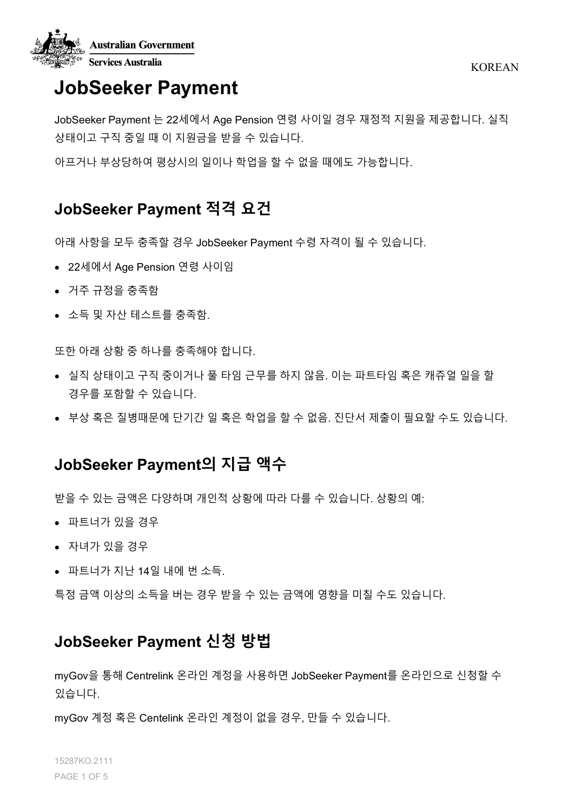

# **JobSeeker Payment**

JobSeeker Payment 는 22세에서 Age Pension 연령 사이일 경우 재정적 지원을 제공합니다. 실직 상태이고 구직 중일 때 이 지원금을 받을 수 있습니다.

아프거나 부상당하여 평상시의 일이나 학업을 할 수 없을 때에도 가능합니다.

# **JobSeeker Payment 적격 요건**

아래 사항을 모두 충족할 경우 JobSeeker Payment 수령 자격이 될 수 있습니다.

- 22세에서 Age Pension 연령 사이임
- 거주 규정을 충족함
- 소득 및 자산 테스트를 충족함.

또한 아래 상황 중 하나를 충족해야 합니다.

- 실직 상태이고 구직 중이거나 풀 타임 근무를 하지 않음. 이는 파트타임 혹은 캐쥬얼 일을 할 경우를 포함할 수 있습니다.
- 부상 혹은 질병때문에 단기간 일 혹은 학업을 할 수 없음. 진단서 제출이 필요할 수도 있습니다.

## **JobSeeker Payment의 지급 액수**

받을 수 있는 금액은 다양하며 개인적 상황에 따라 다를 수 있습니다. 상황의 예:

- 파트너가 있을 경우
- 자녀가 있을 경우
- 파트너가 지난 14일 내에 번 소득.

특정 금액 이상의 소득을 버는 경우 받을 수 있는 금액에 영향을 미칠 수도 있습니다.

# **JobSeeker Payment 신청 방법**

myGov을 통해 Centrelink 온라인 계정을 사용하면 JobSeeker Payment를 온라인으로 신청할 수 있습니다.

myGov 계정 혹은 Centelink 온라인 계정이 없을 경우, 만들 수 있습니다.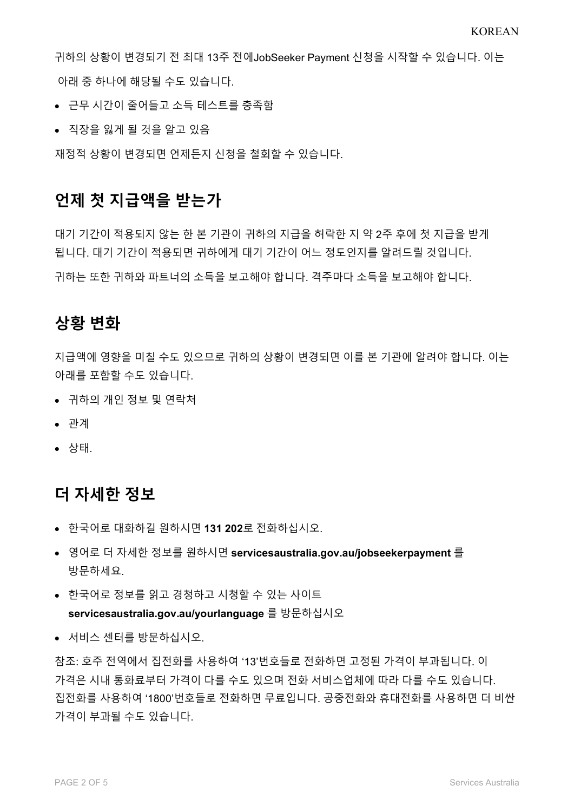귀하의 상황이 변경되기 전 최대 13주 전에JobSeeker Payment 신청을 시작할 수 있습니다. 이는 아래 중 하나에 해당될 수도 있습니다.

- 근무 시간이 줄어들고 소득 [테스트를](https://www.servicesaustralia.gov.au/individuals/services/centrelink/jobseeker-payment/how-much-you-can-get/income-and-assets-tests/income-test) 충족함
- 직장을 잃게 될 것을 알고 있음

재정적 상황이 변경되면 언제든지 신청을 철회할 수 있습니다.

### **언제 첫 지급액을 받는가**

대기 기간이 적용되지 않는 한 본 기관이 귀하의 지급을 허락한 지 약 2주 후에 첫 지급을 받게 됩니다. 대기 기간이 적용되면 귀하에게 대기 기간이 어느 정도인지를 알려드릴 것입니다.

귀하는 또한 귀하와 파트너의 소득을 보고해야 합니다. 격주마다 소득을 보고해야 합니다.

### **상황 변화**

지급액에 영향을 미칠 수도 있으므로 귀하의 상황이 변경되면 이를 본 기관에 알려야 합니다. 이는 아래를 포함할 수도 있습니다.

- 귀하의 개인 정보 및 연락처
- 관계
- 상태.

### **더 자세한 정보**

- 한국어로 대화하길 원하시면 **131 202**로 전화하십시오.
- 영어로 더 자세한 정보를 원하시면 **servicesaustralia.gov.au/jobseekerpayment** 를 방문하세요.
- 한국어로 정보를 읽고 경청하고 시청할 수 있는 사이트 **servicesaustralia.gov.au/yourlanguage** 를 방문하십시오
- 서비스 센터를 방문하십시오.

참조: 호주 전역에서 집전화를 사용하여 '13'번호들로 전화하면 고정된 가격이 부과됩니다. 이 가격은 시내 통화료부터 가격이 다를 수도 있으며 전화 서비스업체에 따라 다를 수도 있습니다. 집전화를 사용하여 '1800'번호들로 전화하면 무료입니다. 공중전화와 휴대전화를 사용하면 더 비싼 가격이 부과될 수도 있습니다.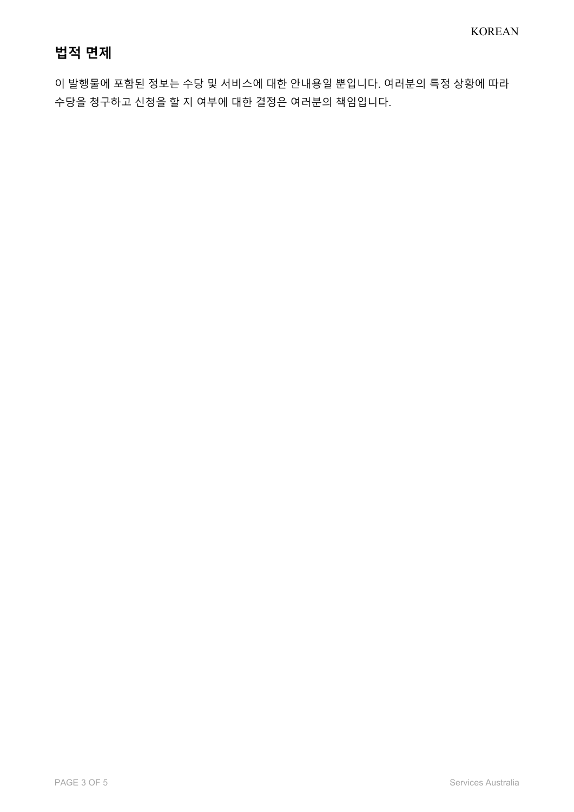# **법적 면제**

이 발행물에 포함된 정보는 수당 및 서비스에 대한 안내용일 뿐입니다. 여러분의 특정 상황에 따라 수당을 청구하고 신청을 할 지 여부에 대한 결정은 여러분의 책임입니다.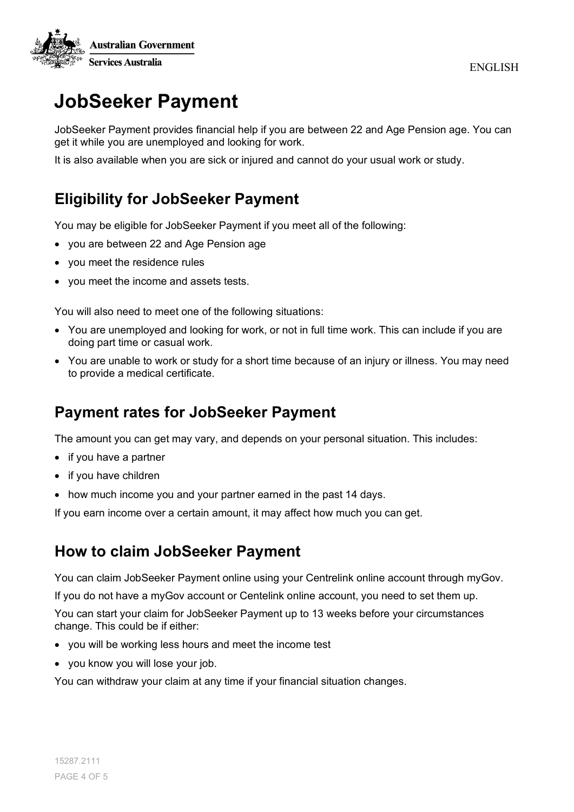

# **JobSeeker Payment**

JobSeeker Payment provides financial help if you are between 22 and Age Pension age. You can get it while you are unemployed and looking for work.

It is also available when you are sick or injured and cannot do your usual work or study.

# **Eligibility for JobSeeker Payment**

You may be eligible for JobSeeker Payment if you meet all of the following:

- you are between 22 and Age Pension age
- you meet the residence rules
- you meet the income and assets tests.

You will also need to meet one of the following situations:

- You are unemployed and looking for work, or not in full time work. This can include if you are doing part time or casual work.
- You are unable to work or study for a short time because of an injury or illness. You may need to provide a medical certificate.

### **Payment rates for JobSeeker Payment**

The amount you can get may vary, and depends on your personal situation. This includes:

- if you have a partner
- if you have children
- how much income you and your partner earned in the past 14 days.

If you earn income over a certain amount, it may affect how much you can get.

### **How to claim JobSeeker Payment**

You can claim JobSeeker Payment online using your Centrelink online account through myGov.

If you do not have a myGov account or Centelink online account, you need to set them up.

You can start your claim for JobSeeker Payment up to 13 weeks before your circumstances change. This could be if either:

- you will be working less hours and meet the [income test](https://www.servicesaustralia.gov.au/individuals/services/centrelink/jobseeker-payment/how-much-you-can-get/income-and-assets-tests/income-test)
- you know you will lose your job.

You can withdraw your claim at any time if your financial situation changes.